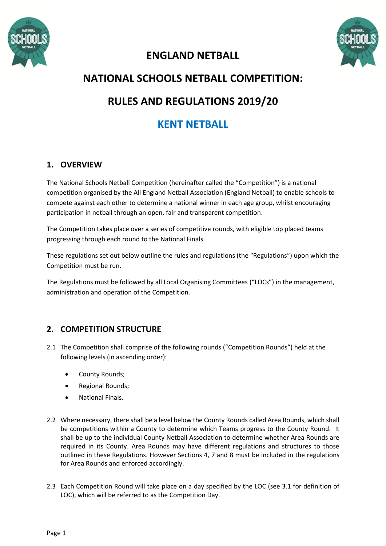



# **ENGLAND NETBALL**

# **NATIONAL SCHOOLS NETBALL COMPETITION: RULES AND REGULATIONS 2019/20**

# **KENT NETBALL**

# **1. OVERVIEW**

The National Schools Netball Competition (hereinafter called the "Competition") is a national competition organised by the All England Netball Association (England Netball) to enable schools to compete against each other to determine a national winner in each age group, whilst encouraging participation in netball through an open, fair and transparent competition.

The Competition takes place over a series of competitive rounds, with eligible top placed teams progressing through each round to the National Finals.

These regulations set out below outline the rules and regulations (the "Regulations") upon which the Competition must be run.

The Regulations must be followed by all Local Organising Committees ("LOCs") in the management, administration and operation of the Competition.

# **2. COMPETITION STRUCTURE**

- 2.1 The Competition shall comprise of the following rounds ("Competition Rounds") held at the following levels (in ascending order):
	- County Rounds;
	- Regional Rounds;
	- National Finals.
- 2.2 Where necessary, there shall be a level below the County Rounds called Area Rounds, which shall be competitions within a County to determine which Teams progress to the County Round. It shall be up to the individual County Netball Association to determine whether Area Rounds are required in its County. Area Rounds may have different regulations and structures to those outlined in these Regulations. However Sections 4, 7 and 8 must be included in the regulations for Area Rounds and enforced accordingly.
- 2.3 Each Competition Round will take place on a day specified by the LOC (see 3.1 for definition of LOC), which will be referred to as the Competition Day.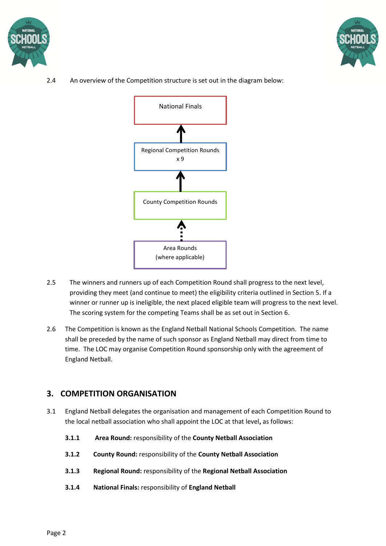



2.4 An overview of the Competition structure is set out in the diagram below:



- 2.5 The winners and runners up of each Competition Round shall progress to the next level, providing they meet (and continue to meet) the eligibility criteria outlined in Section 5. If a winner or runner up is ineligible, the next placed eligible team will progress to the next level. The scoring system for the competing Teams shall be as set out in Section 6.
- 2.6 The Competition is known as the England Netball National Schools Competition. The name shall be preceded by the name of such sponsor as England Netball may direct from time to time. The LOC may organise Competition Round sponsorship only with the agreement of England Netball.

# **3. COMPETITION ORGANISATION**

- 3.1 England Netball delegates the organisation and management of each Competition Round to the local netball association who shall appoint the LOC at that level**,** as follows:
	- **3.1.1 Area Round:** responsibility of the **County Netball Association**
	- **3.1.2 County Round:** responsibility of the **County Netball Association**
	- **3.1.3 Regional Round:** responsibility of the **Regional Netball Association**
	- **3.1.4 National Finals:** responsibility of **England Netball**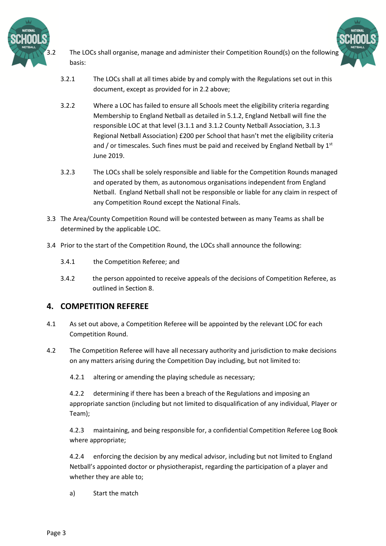

basis:

- The LOCs shall organise, manage and administer their Competition Round(s) on the following
- 3.2.1 The LOCs shall at all times abide by and comply with the Regulations set out in this document, except as provided for in 2.2 above;
- 3.2.2 Where a LOC has failed to ensure all Schools meet the eligibility criteria regarding Membership to England Netball as detailed in 5.1.2, England Netball will fine the responsible LOC at that level (3.1.1 and 3.1.2 County Netball Association, 3.1.3 Regional Netball Association) £200 per School that hasn't met the eligibility criteria and / or timescales. Such fines must be paid and received by England Netball by  $1<sup>st</sup>$ June 2019.
- 3.2.3 The LOCs shall be solely responsible and liable for the Competition Rounds managed and operated by them, as autonomous organisations independent from England Netball. England Netball shall not be responsible or liable for any claim in respect of any Competition Round except the National Finals.
- 3.3 The Area/County Competition Round will be contested between as many Teams as shall be determined by the applicable LOC.
- 3.4 Prior to the start of the Competition Round, the LOCs shall announce the following:
	- 3.4.1 the Competition Referee; and
	- 3.4.2 the person appointed to receive appeals of the decisions of Competition Referee, as outlined in Section 8.

## **4. COMPETITION REFEREE**

- 4.1 As set out above, a Competition Referee will be appointed by the relevant LOC for each Competition Round.
- 4.2 The Competition Referee will have all necessary authority and jurisdiction to make decisions on any matters arising during the Competition Day including, but not limited to:
	- 4.2.1 altering or amending the playing schedule as necessary;

4.2.2 determining if there has been a breach of the Regulations and imposing an appropriate sanction (including but not limited to disqualification of any individual, Player or Team);

4.2.3 maintaining, and being responsible for, a confidential Competition Referee Log Book where appropriate;

4.2.4 enforcing the decision by any medical advisor, including but not limited to England Netball's appointed doctor or physiotherapist, regarding the participation of a player and whether they are able to;

a) Start the match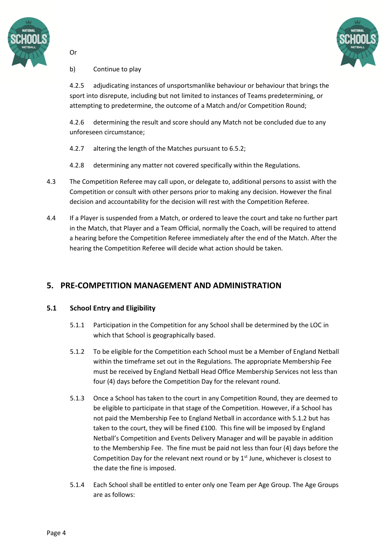



#### b) Continue to play

Or

4.2.5 adjudicating instances of unsportsmanlike behaviour or behaviour that brings the sport into disrepute, including but not limited to instances of Teams predetermining, or attempting to predetermine, the outcome of a Match and/or Competition Round;

4.2.6 determining the result and score should any Match not be concluded due to any unforeseen circumstance;

- 4.2.7 altering the length of the Matches pursuant to 6.5.2;
- 4.2.8 determining any matter not covered specifically within the Regulations.
- 4.3 The Competition Referee may call upon, or delegate to, additional persons to assist with the Competition or consult with other persons prior to making any decision. However the final decision and accountability for the decision will rest with the Competition Referee.
- 4.4 If a Player is suspended from a Match, or ordered to leave the court and take no further part in the Match, that Player and a Team Official, normally the Coach, will be required to attend a hearing before the Competition Referee immediately after the end of the Match. After the hearing the Competition Referee will decide what action should be taken.

# **5. PRE-COMPETITION MANAGEMENT AND ADMINISTRATION**

## **5.1 School Entry and Eligibility**

- 5.1.1 Participation in the Competition for any School shall be determined by the LOC in which that School is geographically based.
- 5.1.2 To be eligible for the Competition each School must be a Member of England Netball within the timeframe set out in the Regulations. The appropriate Membership Fee must be received by England Netball Head Office Membership Services not less than four (4) days before the Competition Day for the relevant round.
- 5.1.3 Once a School has taken to the court in any Competition Round, they are deemed to be eligible to participate in that stage of the Competition. However, if a School has not paid the Membership Fee to England Netball in accordance with 5.1.2 but has taken to the court, they will be fined £100. This fine will be imposed by England Netball's Competition and Events Delivery Manager and will be payable in addition to the Membership Fee. The fine must be paid not less than four (4) days before the Competition Day for the relevant next round or by  $1<sup>st</sup>$  June, whichever is closest to the date the fine is imposed.
- 5.1.4 Each School shall be entitled to enter only one Team per Age Group. The Age Groups are as follows: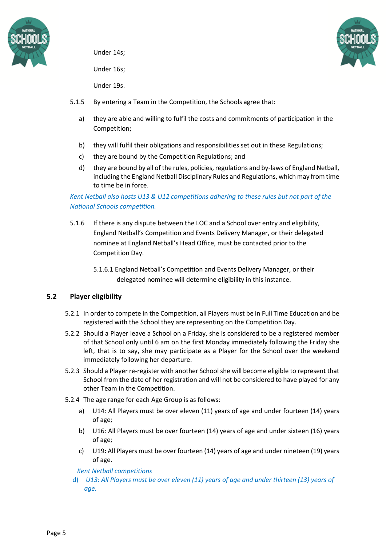

Under 14s;

Under 16s;



Under 19s.

- 5.1.5 By entering a Team in the Competition, the Schools agree that:
	- a) they are able and willing to fulfil the costs and commitments of participation in the Competition;
	- b) they will fulfil their obligations and responsibilities set out in these Regulations;
	- c) they are bound by the Competition Regulations; and
	- d) they are bound by all of the rules, policies, regulations and by-laws of England Netball, including the England Netball Disciplinary Rules and Regulations, which may from time to time be in force.

## *Kent Netball also hosts U13 & U12 competitions adhering to these rules but not part of the National Schools competition.*

- 5.1.6 If there is any dispute between the LOC and a School over entry and eligibility, England Netball's Competition and Events Delivery Manager, or their delegated nominee at England Netball's Head Office, must be contacted prior to the Competition Day.
	- 5.1.6.1 England Netball's Competition and Events Delivery Manager, or their delegated nominee will determine eligibility in this instance.

## **5.2 Player eligibility**

- 5.2.1 In order to compete in the Competition, all Players must be in Full Time Education and be registered with the School they are representing on the Competition Day.
- 5.2.2 Should a Player leave a School on a Friday, she is considered to be a registered member of that School only until 6 am on the first Monday immediately following the Friday she left, that is to say, she may participate as a Player for the School over the weekend immediately following her departure.
- 5.2.3 Should a Player re-register with another School she will become eligible to represent that School from the date of her registration and will not be considered to have played for any other Team in the Competition.
- 5.2.4 The age range for each Age Group is as follows:
	- a) U14: All Players must be over eleven (11) years of age and under fourteen (14) years of age;
	- b) U16: All Players must be over fourteen (14) years of age and under sixteen (16) years of age;
	- c) U19**:** All Players must be over fourteen (14) years of age and under nineteen (19) years of age.

#### *Kent Netball competitions*

d) *U13: All Players must be over eleven (11) years of age and under thirteen (13) years of age.*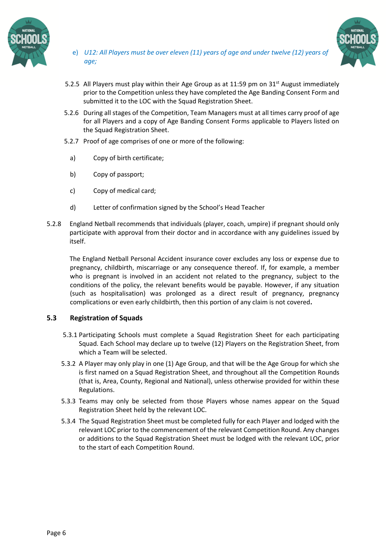

e) *U12: All Players must be over eleven (11) years of age and under twelve (12) years of age;* 



- 5.2.5 All Players must play within their Age Group as at 11:59 pm on 31<sup>st</sup> August immediately prior to the Competition unless they have completed the Age Banding Consent Form and submitted it to the LOC with the Squad Registration Sheet.
- 5.2.6 During all stages of the Competition, Team Managers must at all times carry proof of age for all Players and a copy of Age Banding Consent Forms applicable to Players listed on the Squad Registration Sheet.
- 5.2.7 Proof of age comprises of one or more of the following:
	- a) Copy of birth certificate;
	- b) Copy of passport;
	- c) Copy of medical card;
	- d) Letter of confirmation signed by the School's Head Teacher
- 5.2.8 England Netball recommends that individuals (player, coach, umpire) if pregnant should only participate with approval from their doctor and in accordance with any guidelines issued by itself.

The England Netball Personal Accident insurance cover excludes any loss or expense due to pregnancy, childbirth, miscarriage or any consequence thereof. If, for example, a member who is pregnant is involved in an accident not related to the pregnancy, subject to the conditions of the policy, the relevant benefits would be payable. However, if any situation (such as hospitalisation) was prolonged as a direct result of pregnancy, pregnancy complications or even early childbirth, then this portion of any claim is not covered**.**

#### **5.3 Registration of Squads**

- 5.3.1 Participating Schools must complete a Squad Registration Sheet for each participating Squad. Each School may declare up to twelve (12) Players on the Registration Sheet, from which a Team will be selected.
- 5.3.2 A Player may only play in one (1) Age Group, and that will be the Age Group for which she is first named on a Squad Registration Sheet, and throughout all the Competition Rounds (that is, Area, County, Regional and National), unless otherwise provided for within these Regulations.
- 5.3.3 Teams may only be selected from those Players whose names appear on the Squad Registration Sheet held by the relevant LOC.
- 5.3.4 The Squad Registration Sheet must be completed fully for each Player and lodged with the relevant LOC prior to the commencement of the relevant Competition Round. Any changes or additions to the Squad Registration Sheet must be lodged with the relevant LOC, prior to the start of each Competition Round.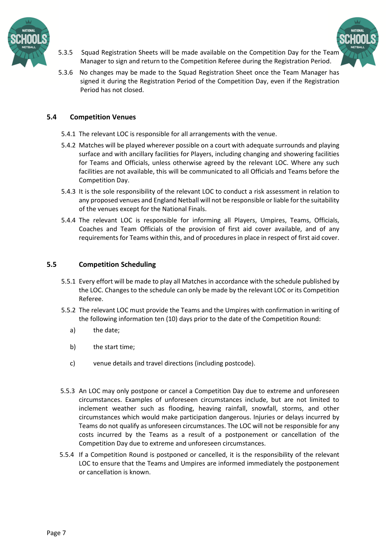



- 5.3.5 Squad Registration Sheets will be made available on the Competition Day for the Team Manager to sign and return to the Competition Referee during the Registration Period.
- 5.3.6 No changes may be made to the Squad Registration Sheet once the Team Manager has signed it during the Registration Period of the Competition Day, even if the Registration Period has not closed.

#### **5.4 Competition Venues**

- 5.4.1 The relevant LOC is responsible for all arrangements with the venue.
- 5.4.2 Matches will be played wherever possible on a court with adequate surrounds and playing surface and with ancillary facilities for Players, including changing and showering facilities for Teams and Officials, unless otherwise agreed by the relevant LOC. Where any such facilities are not available, this will be communicated to all Officials and Teams before the Competition Day.
- 5.4.3 It is the sole responsibility of the relevant LOC to conduct a risk assessment in relation to any proposed venues and England Netball will not be responsible or liable for the suitability of the venues except for the National Finals.
- 5.4.4 The relevant LOC is responsible for informing all Players, Umpires, Teams, Officials, Coaches and Team Officials of the provision of first aid cover available, and of any requirements for Teams within this, and of procedures in place in respect of first aid cover.

#### **5.5 Competition Scheduling**

- 5.5.1 Every effort will be made to play all Matches in accordance with the schedule published by the LOC. Changes to the schedule can only be made by the relevant LOC or its Competition Referee.
- 5.5.2 The relevant LOC must provide the Teams and the Umpires with confirmation in writing of the following information ten (10) days prior to the date of the Competition Round:
	- a) the date;
	- b) the start time;
	- c) venue details and travel directions (including postcode).
- 5.5.3 An LOC may only postpone or cancel a Competition Day due to extreme and unforeseen circumstances. Examples of unforeseen circumstances include, but are not limited to inclement weather such as flooding, heaving rainfall, snowfall, storms, and other circumstances which would make participation dangerous. Injuries or delays incurred by Teams do not qualify as unforeseen circumstances. The LOC will not be responsible for any costs incurred by the Teams as a result of a postponement or cancellation of the Competition Day due to extreme and unforeseen circumstances.
- 5.5.4 If a Competition Round is postponed or cancelled, it is the responsibility of the relevant LOC to ensure that the Teams and Umpires are informed immediately the postponement or cancellation is known.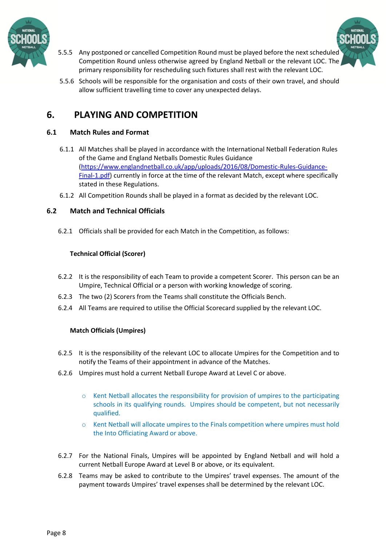



- 5.5.5 Any postponed or cancelled Competition Round must be played before the next scheduled Competition Round unless otherwise agreed by England Netball or the relevant LOC. The primary responsibility for rescheduling such fixtures shall rest with the relevant LOC.
- 5.5.6 Schools will be responsible for the organisation and costs of their own travel, and should allow sufficient travelling time to cover any unexpected delays.

# **6. PLAYING AND COMPETITION**

## **6.1 Match Rules and Format**

- 6.1.1 All Matches shall be played in accordance with the International Netball Federation Rules of the Game and England Netballs Domestic Rules Guidance [\(https://www.englandnetball.co.uk/app/uploads/2016/08/Domestic-Rules-Guidance-](https://www.englandnetball.co.uk/app/uploads/2016/08/Domestic-Rules-Guidance-Final-1.pdf)[Final-1.pdf\)](https://www.englandnetball.co.uk/app/uploads/2016/08/Domestic-Rules-Guidance-Final-1.pdf) currently in force at the time of the relevant Match, except where specifically stated in these Regulations.
- 6.1.2 All Competition Rounds shall be played in a format as decided by the relevant LOC.

## **6.2 Match and Technical Officials**

6.2.1 Officials shall be provided for each Match in the Competition, as follows:

## **Technical Official (Scorer)**

- 6.2.2 It is the responsibility of each Team to provide a competent Scorer. This person can be an Umpire, Technical Official or a person with working knowledge of scoring.
- 6.2.3 The two (2) Scorers from the Teams shall constitute the Officials Bench.
- 6.2.4 All Teams are required to utilise the Official Scorecard supplied by the relevant LOC.

## **Match Officials (Umpires)**

- 6.2.5 It is the responsibility of the relevant LOC to allocate Umpires for the Competition and to notify the Teams of their appointment in advance of the Matches.
- 6.2.6 Umpires must hold a current Netball Europe Award at Level C or above.
	- o Kent Netball allocates the responsibility for provision of umpires to the participating schools in its qualifying rounds. Umpires should be competent, but not necessarily qualified.
	- o Kent Netball will allocate umpires to the Finals competition where umpires must hold the Into Officiating Award or above.
- 6.2.7 For the National Finals, Umpires will be appointed by England Netball and will hold a current Netball Europe Award at Level B or above, or its equivalent.
- 6.2.8 Teams may be asked to contribute to the Umpires' travel expenses. The amount of the payment towards Umpires' travel expenses shall be determined by the relevant LOC.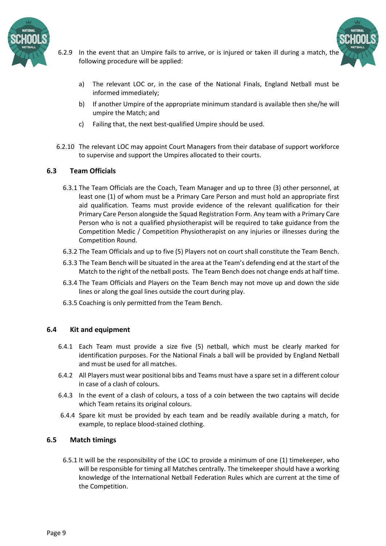

- 6.2.9 In the event that an Umpire fails to arrive, or is injured or taken ill during a match, the following procedure will be applied:
	- a) The relevant LOC or, in the case of the National Finals, England Netball must be informed immediately;
	- b) If another Umpire of the appropriate minimum standard is available then she/he will umpire the Match; and
	- c) Failing that, the next best-qualified Umpire should be used.
- 6.2.10 The relevant LOC may appoint Court Managers from their database of support workforce to supervise and support the Umpires allocated to their courts.

#### **6.3 Team Officials**

- 6.3.1 The Team Officials are the Coach, Team Manager and up to three (3) other personnel, at least one (1) of whom must be a Primary Care Person and must hold an appropriate first aid qualification. Teams must provide evidence of the relevant qualification for their Primary Care Person alongside the Squad Registration Form. Any team with a Primary Care Person who is not a qualified physiotherapist will be required to take guidance from the Competition Medic / Competition Physiotherapist on any injuries or illnesses during the Competition Round.
- 6.3.2 The Team Officials and up to five (5) Players not on court shall constitute the Team Bench.
- 6.3.3 The Team Bench will be situated in the area at the Team's defending end at the start of the Match to the right of the netball posts. The Team Bench does not change ends at half time.
- 6.3.4 The Team Officials and Players on the Team Bench may not move up and down the side lines or along the goal lines outside the court during play.
- 6.3.5 Coaching is only permitted from the Team Bench.

#### **6.4 Kit and equipment**

- 6.4.1 Each Team must provide a size five (5) netball, which must be clearly marked for identification purposes. For the National Finals a ball will be provided by England Netball and must be used for all matches.
- 6.4.2 All Players must wear positional bibs and Teams must have a spare set in a different colour in case of a clash of colours.
- 6.4.3 In the event of a clash of colours, a toss of a coin between the two captains will decide which Team retains its original colours.
- 6.4.4 Spare kit must be provided by each team and be readily available during a match, for example, to replace blood-stained clothing.

#### **6.5 Match timings**

 6.5.1 It will be the responsibility of the LOC to provide a minimum of one (1) timekeeper, who will be responsible for timing all Matches centrally. The timekeeper should have a working knowledge of the International Netball Federation Rules which are current at the time of the Competition.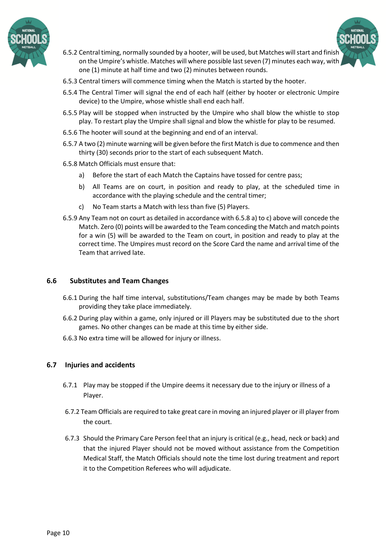



- 6.5.2 Central timing, normally sounded by a hooter, will be used, but Matches will start and finish on the Umpire's whistle. Matches will where possible lastseven (7) minutes each way, with one (1) minute at half time and two (2) minutes between rounds.
- 6.5.3 Central timers will commence timing when the Match is started by the hooter.
- 6.5.4 The Central Timer will signal the end of each half (either by hooter or electronic Umpire device) to the Umpire, whose whistle shall end each half.
- 6.5.5 Play will be stopped when instructed by the Umpire who shall blow the whistle to stop play. To restart play the Umpire shall signal and blow the whistle for play to be resumed.
- 6.5.6 The hooter will sound at the beginning and end of an interval.
- 6.5.7 A two (2) minute warning will be given before the first Match is due to commence and then thirty (30) seconds prior to the start of each subsequent Match.
- 6.5.8 Match Officials must ensure that:
	- a) Before the start of each Match the Captains have tossed for centre pass;
	- b) All Teams are on court, in position and ready to play, at the scheduled time in accordance with the playing schedule and the central timer;
	- c) No Team starts a Match with less than five (5) Players.
- 6.5.9 Any Team not on court as detailed in accordance with 6.5.8 a) to c) above will concede the Match. Zero (0) points will be awarded to the Team conceding the Match and match points for a win (5) will be awarded to the Team on court, in position and ready to play at the correct time. The Umpires must record on the Score Card the name and arrival time of the Team that arrived late.

## **6.6 Substitutes and Team Changes**

- 6.6.1 During the half time interval, substitutions/Team changes may be made by both Teams providing they take place immediately.
- 6.6.2 During play within a game, only injured or ill Players may be substituted due to the short games. No other changes can be made at this time by either side.
- 6.6.3 No extra time will be allowed for injury or illness.

## **6.7 Injuries and accidents**

- 6.7.1 Play may be stopped if the Umpire deems it necessary due to the injury or illness of a Player.
- 6.7.2 Team Officials are required to take great care in moving an injured player or ill player from the court.
- 6.7.3 Should the Primary Care Person feel that an injury is critical (e.g., head, neck or back) and that the injured Player should not be moved without assistance from the Competition Medical Staff, the Match Officials should note the time lost during treatment and report it to the Competition Referees who will adjudicate.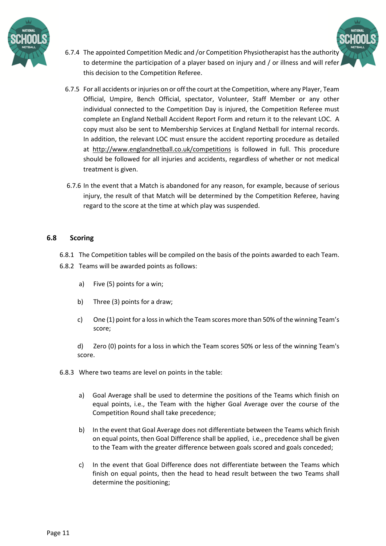

- 6.7.4 The appointed Competition Medic and /or Competition Physiotherapist has the authority to determine the participation of a player based on injury and / or illness and will refer this decision to the Competition Referee.
- 6.7.5 For all accidents or injuries on or off the court at the Competition, where any Player, Team Official, Umpire, Bench Official, spectator, Volunteer, Staff Member or any other individual connected to the Competition Day is injured, the Competition Referee must complete an England Netball Accident Report Form and return it to the relevant LOC. A copy must also be sent to Membership Services at England Netball for internal records. In addition, the relevant LOC must ensure the accident reporting procedure as detailed at <http://www.englandnetball.co.uk/competitions> is followed in full. This procedure should be followed for all injuries and accidents, regardless of whether or not medical treatment is given.
- 6.7.6 In the event that a Match is abandoned for any reason, for example, because of serious injury, the result of that Match will be determined by the Competition Referee, having regard to the score at the time at which play was suspended.

#### **6.8 Scoring**

- 6.8.1 The Competition tables will be compiled on the basis of the points awarded to each Team.
- 6.8.2 Teams will be awarded points as follows:
	- a) Five (5) points for a win;
	- b) Three (3) points for a draw;
	- c) One (1) point for a loss in which the Team scores more than 50% of the winning Team's score;

d) Zero (0) points for a loss in which the Team scores 50% or less of the winning Team's score.

6.8.3 Where two teams are level on points in the table:

- a) Goal Average shall be used to determine the positions of the Teams which finish on equal points, i.e., the Team with the higher Goal Average over the course of the Competition Round shall take precedence;
- b) In the event that Goal Average does not differentiate between the Teams which finish on equal points, then Goal Difference shall be applied, i.e., precedence shall be given to the Team with the greater difference between goals scored and goals conceded;
- c) In the event that Goal Difference does not differentiate between the Teams which finish on equal points, then the head to head result between the two Teams shall determine the positioning;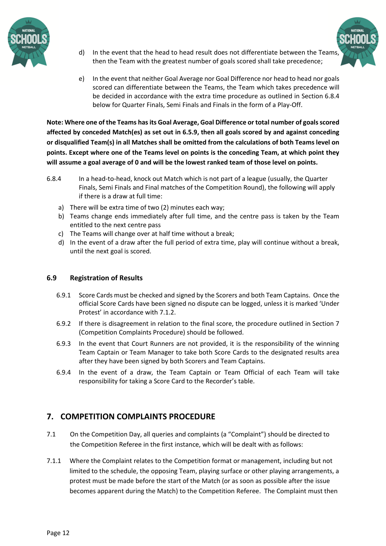

d) In the event that the head to head result does not differentiate between the Teams, then the Team with the greatest number of goals scored shall take precedence;



e) In the event that neither Goal Average nor Goal Difference nor head to head nor goals scored can differentiate between the Teams, the Team which takes precedence will be decided in accordance with the extra time procedure as outlined in Section 6.8.4 below for Quarter Finals, Semi Finals and Finals in the form of a Play-Off.

**Note: Where one of the Teams hasits Goal Average, Goal Difference or total number of goalsscored affected by conceded Match(es) as set out in 6.5.9, then all goals scored by and against conceding or disqualified Team(s) in all Matches shall be omitted from the calculations of both Teams level on points. Except where one of the Teams level on points is the conceding Team, at which point they** will assume a goal average of 0 and will be the lowest ranked team of those level on points.

- 6.8.4 In a head-to-head, knock out Match which is not part of a league (usually, the Quarter Finals, Semi Finals and Final matches of the Competition Round), the following will apply if there is a draw at full time:
	- a) There will be extra time of two (2) minutes each way;
	- b) Teams change ends immediately after full time, and the centre pass is taken by the Team entitled to the next centre pass
	- c) The Teams will change over at half time without a break;
	- d) In the event of a draw after the full period of extra time, play will continue without a break, until the next goal is scored.

## **6.9 Registration of Results**

- 6.9.1 Score Cards must be checked and signed by the Scorers and both Team Captains. Once the official Score Cards have been signed no dispute can be logged, unless it is marked 'Under Protest' in accordance with 7.1.2.
- 6.9.2 If there is disagreement in relation to the final score, the procedure outlined in Section 7 (Competition Complaints Procedure) should be followed.
- 6.9.3 In the event that Court Runners are not provided, it is the responsibility of the winning Team Captain or Team Manager to take both Score Cards to the designated results area after they have been signed by both Scorers and Team Captains.
- 6.9.4 In the event of a draw, the Team Captain or Team Official of each Team will take responsibility for taking a Score Card to the Recorder's table.

# **7. COMPETITION COMPLAINTS PROCEDURE**

- 7.1 On the Competition Day, all queries and complaints (a "Complaint") should be directed to the Competition Referee in the first instance, which will be dealt with as follows:
- 7.1.1 Where the Complaint relates to the Competition format or management, including but not limited to the schedule, the opposing Team, playing surface or other playing arrangements, a protest must be made before the start of the Match (or as soon as possible after the issue becomes apparent during the Match) to the Competition Referee. The Complaint must then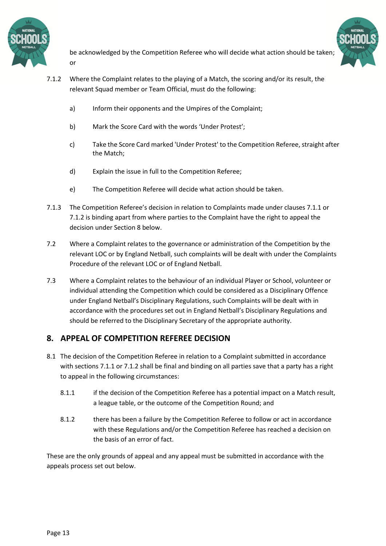



be acknowledged by the Competition Referee who will decide what action should be taken; or

- 7.1.2 Where the Complaint relates to the playing of a Match, the scoring and/or its result, the relevant Squad member or Team Official, must do the following:
	- a) Inform their opponents and the Umpires of the Complaint;
	- b) Mark the Score Card with the words 'Under Protest';
	- c) Take the Score Card marked 'Under Protest' to the Competition Referee, straight after the Match;
	- d) Explain the issue in full to the Competition Referee;
	- e) The Competition Referee will decide what action should be taken.
- 7.1.3 The Competition Referee's decision in relation to Complaints made under clauses 7.1.1 or 7.1.2 is binding apart from where parties to the Complaint have the right to appeal the decision under Section 8 below.
- 7.2 Where a Complaint relates to the governance or administration of the Competition by the relevant LOC or by England Netball, such complaints will be dealt with under the Complaints Procedure of the relevant LOC or of England Netball.
- 7.3 Where a Complaint relates to the behaviour of an individual Player or School, volunteer or individual attending the Competition which could be considered as a Disciplinary Offence under England Netball's Disciplinary Regulations, such Complaints will be dealt with in accordance with the procedures set out in England Netball's Disciplinary Regulations and should be referred to the Disciplinary Secretary of the appropriate authority.

# **8. APPEAL OF COMPETITION REFEREE DECISION**

- 8.1 The decision of the Competition Referee in relation to a Complaint submitted in accordance with sections 7.1.1 or 7.1.2 shall be final and binding on all parties save that a party has a right to appeal in the following circumstances:
	- 8.1.1 if the decision of the Competition Referee has a potential impact on a Match result, a league table, or the outcome of the Competition Round; and
	- 8.1.2 there has been a failure by the Competition Referee to follow or act in accordance with these Regulations and/or the Competition Referee has reached a decision on the basis of an error of fact.

These are the only grounds of appeal and any appeal must be submitted in accordance with the appeals process set out below.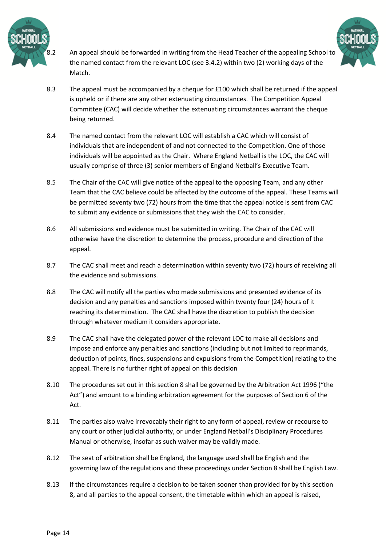

8.2 An appeal should be forwarded in writing from the Head Teacher of the appealing School to the named contact from the relevant LOC (see 3.4.2) within two (2) working days of the Match.



- 8.3 The appeal must be accompanied by a cheque for £100 which shall be returned if the appeal is upheld or if there are any other extenuating circumstances. The Competition Appeal Committee (CAC) will decide whether the extenuating circumstances warrant the cheque being returned.
- 8.4 The named contact from the relevant LOC will establish a CAC which will consist of individuals that are independent of and not connected to the Competition. One of those individuals will be appointed as the Chair. Where England Netball is the LOC, the CAC will usually comprise of three (3) senior members of England Netball's Executive Team.
- 8.5 The Chair of the CAC will give notice of the appeal to the opposing Team, and any other Team that the CAC believe could be affected by the outcome of the appeal. These Teams will be permitted seventy two (72) hours from the time that the appeal notice is sent from CAC to submit any evidence or submissions that they wish the CAC to consider.
- 8.6 All submissions and evidence must be submitted in writing. The Chair of the CAC will otherwise have the discretion to determine the process, procedure and direction of the appeal.
- 8.7 The CAC shall meet and reach a determination within seventy two (72) hours of receiving all the evidence and submissions.
- 8.8 The CAC will notify all the parties who made submissions and presented evidence of its decision and any penalties and sanctions imposed within twenty four (24) hours of it reaching its determination. The CAC shall have the discretion to publish the decision through whatever medium it considers appropriate.
- 8.9 The CAC shall have the delegated power of the relevant LOC to make all decisions and impose and enforce any penalties and sanctions (including but not limited to reprimands, deduction of points, fines, suspensions and expulsions from the Competition) relating to the appeal. There is no further right of appeal on this decision
- 8.10 The procedures set out in this section 8 shall be governed by the Arbitration Act 1996 ("the Act") and amount to a binding arbitration agreement for the purposes of Section 6 of the Act.
- 8.11 The parties also waive irrevocably their right to any form of appeal, review or recourse to any court or other judicial authority, or under England Netball's Disciplinary Procedures Manual or otherwise, insofar as such waiver may be validly made.
- 8.12 The seat of arbitration shall be England, the language used shall be English and the governing law of the regulations and these proceedings under Section 8 shall be English Law.
- 8.13 If the circumstances require a decision to be taken sooner than provided for by this section 8, and all parties to the appeal consent, the timetable within which an appeal is raised,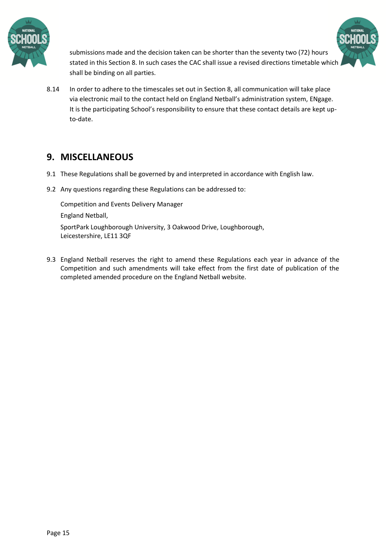



submissions made and the decision taken can be shorter than the seventy two (72) hours stated in this Section 8. In such cases the CAC shall issue a revised directions timetable which shall be binding on all parties.

8.14 In order to adhere to the timescales set out in Section 8, all communication will take place via electronic mail to the contact held on England Netball's administration system, ENgage. It is the participating School's responsibility to ensure that these contact details are kept upto-date.

# **9. MISCELLANEOUS**

- 9.1 These Regulations shall be governed by and interpreted in accordance with English law.
- 9.2 Any questions regarding these Regulations can be addressed to:

Competition and Events Delivery Manager England Netball,

SportPark Loughborough University, 3 Oakwood Drive, Loughborough, Leicestershire, LE11 3QF

9.3 England Netball reserves the right to amend these Regulations each year in advance of the Competition and such amendments will take effect from the first date of publication of the completed amended procedure on the England Netball website.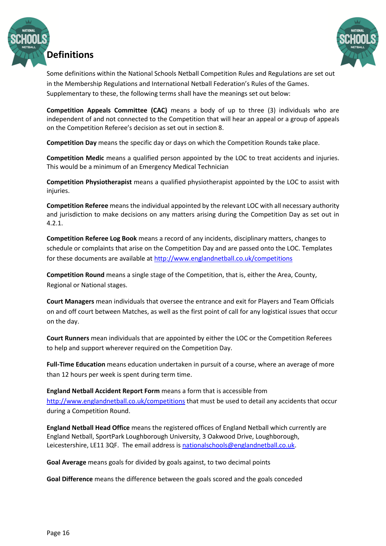



Some definitions within the National Schools Netball Competition Rules and Regulations are set out in the Membership Regulations and International Netball Federation's Rules of the Games. Supplementary to these, the following terms shall have the meanings set out below:

**Competition Appeals Committee (CAC)** means a body of up to three (3) individuals who are independent of and not connected to the Competition that will hear an appeal or a group of appeals on the Competition Referee's decision as set out in section 8.

**Competition Day** means the specific day or days on which the Competition Rounds take place.

**Competition Medic** means a qualified person appointed by the LOC to treat accidents and injuries. This would be a minimum of an Emergency Medical Technician

**Competition Physiotherapist** means a qualified physiotherapist appointed by the LOC to assist with injuries.

**Competition Referee** means the individual appointed by the relevant LOC with all necessary authority and jurisdiction to make decisions on any matters arising during the Competition Day as set out in 4.2.1.

**Competition Referee Log Book** means a record of any incidents, disciplinary matters, changes to schedule or complaints that arise on the Competition Day and are passed onto the LOC. Templates for these documents are available at<http://www.englandnetball.co.uk/competitions>

**Competition Round** means a single stage of the Competition, that is, either the Area, County, Regional or National stages.

**Court Managers** mean individuals that oversee the entrance and exit for Players and Team Officials on and off court between Matches, as well as the first point of call for any logistical issues that occur on the day.

**Court Runners** mean individuals that are appointed by either the LOC or the Competition Referees to help and support wherever required on the Competition Day.

**Full-Time Education** means education undertaken in pursuit of a course, where an average of more than 12 hours per week is spent during term time.

**England Netball Accident Report Form** means a form that is accessible from <http://www.englandnetball.co.uk/competitions> that must be used to detail any accidents that occur during a Competition Round.

**England Netball Head Office** means the registered offices of England Netball which currently are England Netball, SportPark Loughborough University, 3 Oakwood Drive, Loughborough, Leicestershire, LE11 3QF. The email address is [nationalschools@englandnetball.co.uk.](mailto:nationalschools@englandnetball.co.uk)

**Goal Average** means goals for divided by goals against, to two decimal points

**Goal Difference** means the difference between the goals scored and the goals conceded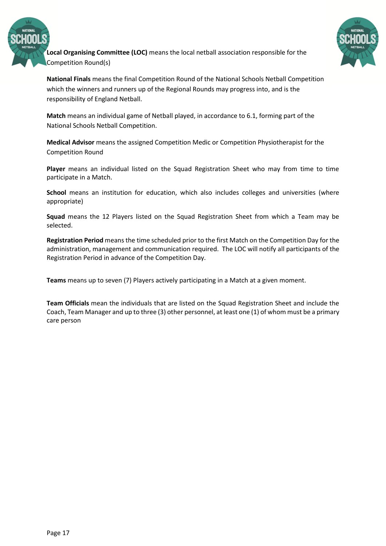

**Local Organising Committee (LOC)** means the local netball association responsible for the Competition Round(s)



**National Finals** means the final Competition Round of the National Schools Netball Competition which the winners and runners up of the Regional Rounds may progress into, and is the responsibility of England Netball.

**Match** means an individual game of Netball played, in accordance to 6.1, forming part of the National Schools Netball Competition.

**Medical Advisor** means the assigned Competition Medic or Competition Physiotherapist for the Competition Round

**Player** means an individual listed on the Squad Registration Sheet who may from time to time participate in a Match.

**School** means an institution for education, which also includes colleges and universities (where appropriate)

**Squad** means the 12 Players listed on the Squad Registration Sheet from which a Team may be selected.

**Registration Period** means the time scheduled prior to the first Match on the Competition Day for the administration, management and communication required. The LOC will notify all participants of the Registration Period in advance of the Competition Day.

**Teams** means up to seven (7) Players actively participating in a Match at a given moment.

**Team Officials** mean the individuals that are listed on the Squad Registration Sheet and include the Coach, Team Manager and up to three (3) other personnel, at least one (1) of whom must be a primary care person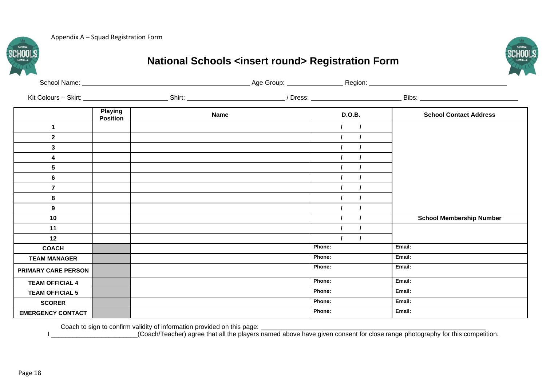Appendix A – Squad Registration Form



# **National Schools <insert round> Registration Form**

|                            | <b>Playing</b><br><b>Position</b> | <b>Name</b> |  |        | <b>D.O.B.</b>  | <b>School Contact Address</b>   |  |
|----------------------------|-----------------------------------|-------------|--|--------|----------------|---------------------------------|--|
| $\mathbf{1}$               |                                   |             |  |        | $\overline{1}$ |                                 |  |
| $\mathbf{2}$               |                                   |             |  |        |                |                                 |  |
| 3                          |                                   |             |  |        |                |                                 |  |
| 4                          |                                   |             |  |        |                |                                 |  |
| 5                          |                                   |             |  |        |                |                                 |  |
| 6                          |                                   |             |  |        |                |                                 |  |
| $\overline{7}$             |                                   |             |  |        |                |                                 |  |
| 8                          |                                   |             |  |        |                |                                 |  |
| 9                          |                                   |             |  |        |                |                                 |  |
| 10                         |                                   |             |  |        |                | <b>School Membership Number</b> |  |
| 11                         |                                   |             |  |        |                |                                 |  |
| 12                         |                                   |             |  |        | $\prime$       |                                 |  |
| <b>COACH</b>               |                                   |             |  | Phone: |                | Email:                          |  |
| <b>TEAM MANAGER</b>        |                                   |             |  | Phone: |                | Email:                          |  |
| <b>PRIMARY CARE PERSON</b> |                                   |             |  | Phone: |                | Email:                          |  |
| <b>TEAM OFFICIAL 4</b>     |                                   |             |  | Phone: |                | Email:                          |  |
| <b>TEAM OFFICIAL 5</b>     |                                   |             |  | Phone: |                | Email:                          |  |
| <b>SCORER</b>              |                                   |             |  | Phone: |                | Email:                          |  |
| <b>EMERGENCY CONTACT</b>   |                                   |             |  | Phone: |                | Email:                          |  |

Coach to sign to confirm validity of information provided on this page:

I \_\_\_\_\_\_\_\_\_\_\_\_\_\_\_\_\_\_\_\_\_\_\_\_\_\_(Coach/Teacher) agree that all the players named above have given consent for close range photography for this competition.